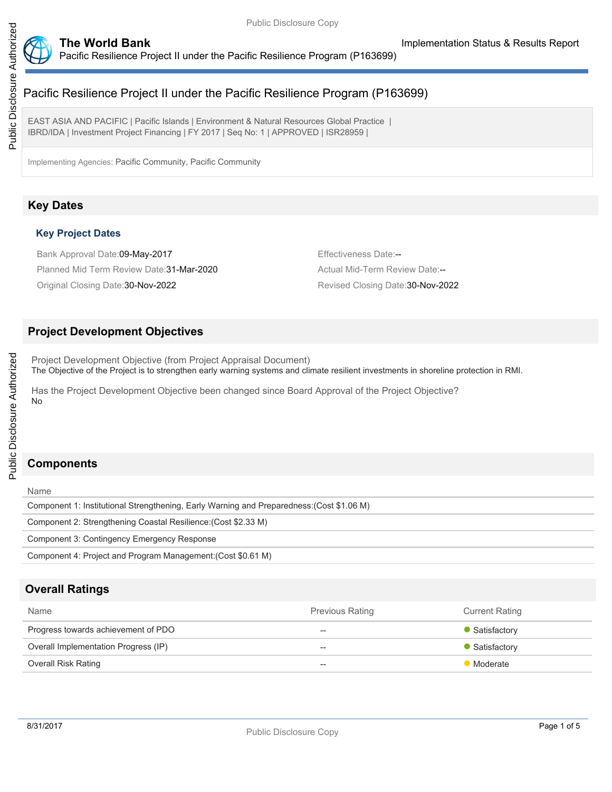

EAST ASIA AND PACIFIC | Pacific Islands | Environment & Natural Resources Global Practice | IBRD/IDA | Investment Project Financing | FY 2017 | Seq No: 1 | APPROVED | ISR28959 |

Implementing Agencies: Pacific Community, Pacific Community

## **Key Dates**

#### **Key Project Dates**

Bank Approval Date:09-May-2017 **Effectiveness Date:--** Effectiveness Date:--Planned Mid Term Review Date: 31-Mar-2020 Actual Mid-Term Review Date:--Original Closing Date:30-Nov-2022 Revised Closing Date:30-Nov-2022

## **Project Development Objectives**

Project Development Objective (from Project Appraisal Document) The Objective of the Project is to strengthen early warning systems and climate resilient investments in shoreline protection in RMI.

Has the Project Development Objective been changed since Board Approval of the Project Objective? No

## **Components**

#### Name

Component 1: Institutional Strengthening, Early Warning and Preparedness:(Cost \$1.06 M) Component 2: Strengthening Coastal Resilience:(Cost \$2.33 M) Component 3: Contingency Emergency Response Component 4: Project and Program Management:(Cost \$0.61 M)

## **Overall Ratings**

| Name                                 | <b>Previous Rating</b> | <b>Current Rating</b> |
|--------------------------------------|------------------------|-----------------------|
| Progress towards achievement of PDO  | $-$                    | • Satisfactory        |
| Overall Implementation Progress (IP) | $- -$                  | • Satisfactory        |
| Overall Risk Rating                  | $\hspace{0.05cm}$      | Moderate              |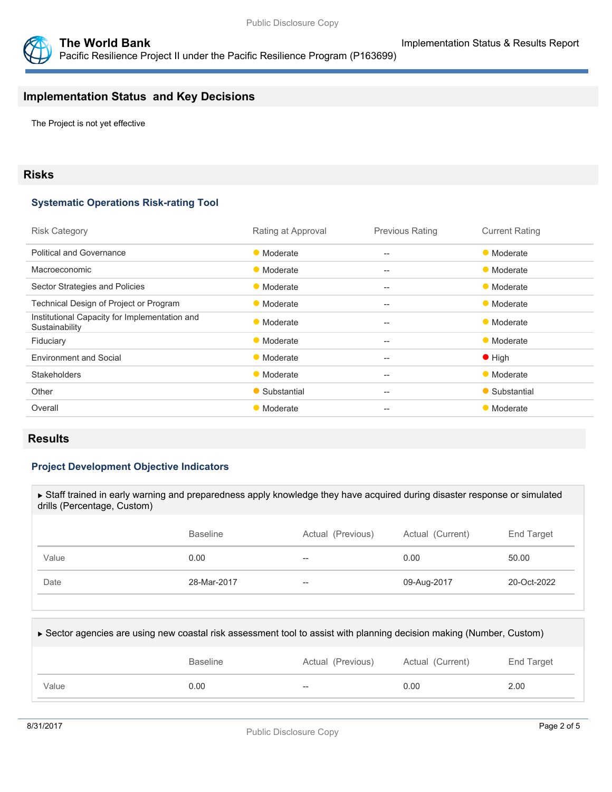



**The World Bank Implementation Status & Results Report** Pacific Resilience Project II under the Pacific Resilience Program (P163699)

## **Implementation Status and Key Decisions**

The Project is not yet effective

#### **Risks**

#### **Systematic Operations Risk-rating Tool**

| <b>Risk Category</b>                                            | Rating at Approval | <b>Previous Rating</b>   | <b>Current Rating</b> |
|-----------------------------------------------------------------|--------------------|--------------------------|-----------------------|
| <b>Political and Governance</b>                                 | • Moderate         | $\overline{\phantom{a}}$ | • Moderate            |
| Macroeconomic                                                   | • Moderate         | $--$                     | • Moderate            |
| Sector Strategies and Policies                                  | • Moderate         | $- -$                    | • Moderate            |
| Technical Design of Project or Program                          | • Moderate         | --                       | • Moderate            |
| Institutional Capacity for Implementation and<br>Sustainability | • Moderate         | $- -$                    | • Moderate            |
| Fiduciary                                                       | • Moderate         | $- -$                    | • Moderate            |
| <b>Environment and Social</b>                                   | • Moderate         | $- -$                    | $\bullet$ High        |
| <b>Stakeholders</b>                                             | • Moderate         | $-$                      | • Moderate            |
| Other                                                           | • Substantial      | $- -$                    | • Substantial         |
| Overall                                                         | • Moderate         | --                       | • Moderate            |
|                                                                 |                    |                          |                       |

#### **Results**

#### **Project Development Objective Indicators**

| ► Staff trained in early warning and preparedness apply knowledge they have acquired during disaster response or simulated<br>drills (Percentage, Custom) |                 |                   |                  |                 |  |  |
|-----------------------------------------------------------------------------------------------------------------------------------------------------------|-----------------|-------------------|------------------|-----------------|--|--|
|                                                                                                                                                           |                 |                   |                  |                 |  |  |
|                                                                                                                                                           | <b>Baseline</b> | Actual (Previous) | Actual (Current) | End Target      |  |  |
| Value                                                                                                                                                     | 0.00            |                   | 0.00             | 50.00           |  |  |
| Date                                                                                                                                                      | 28-Mar-2017     | --                | 09-Aug-2017      | $20 - Oct-2022$ |  |  |
|                                                                                                                                                           |                 |                   |                  |                 |  |  |

| ► Sector agencies are using new coastal risk assessment tool to assist with planning decision making (Number, Custom) |                 |                   |                  |            |  |  |
|-----------------------------------------------------------------------------------------------------------------------|-----------------|-------------------|------------------|------------|--|--|
|                                                                                                                       | <b>Baseline</b> | Actual (Previous) | Actual (Current) | End Target |  |  |
| Value                                                                                                                 | 0.00            | $- -$             | 0.00             | 2.00       |  |  |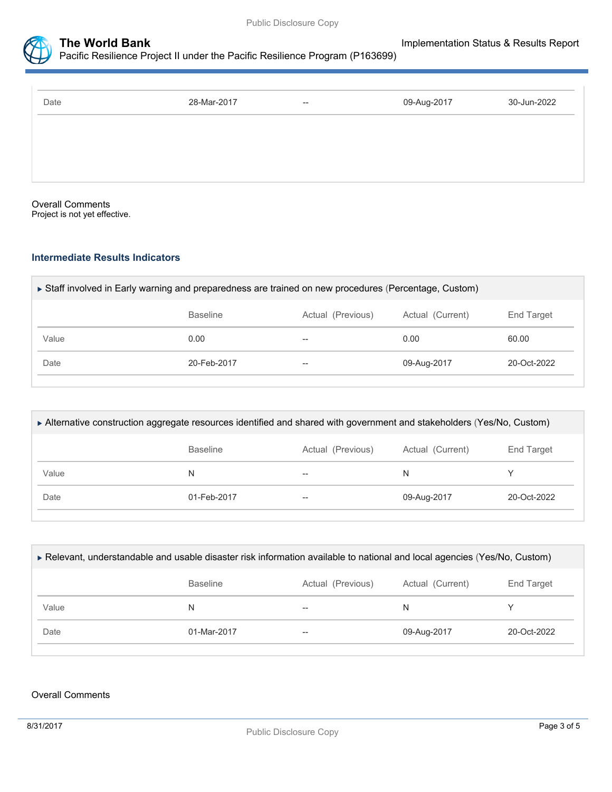



| Date | 28-Mar-2017 | $- -$ | 09-Aug-2017 | 30-Jun-2022 |
|------|-------------|-------|-------------|-------------|
|      |             |       |             |             |
|      |             |       |             |             |
|      |             |       |             |             |

Overall Comments Project is not yet effective.

#### **Intermediate Results Indicators**

| ► Staff involved in Early warning and preparedness are trained on new procedures (Percentage, Custom) |                                                                        |    |             |                 |  |  |
|-------------------------------------------------------------------------------------------------------|------------------------------------------------------------------------|----|-------------|-----------------|--|--|
|                                                                                                       | <b>Baseline</b><br>Actual (Previous)<br>Actual (Current)<br>End Target |    |             |                 |  |  |
| Value                                                                                                 | 0.00                                                                   | -- | 0.00        | 60.00           |  |  |
| Date                                                                                                  | 20-Feb-2017                                                            | -- | 09-Aug-2017 | $20 - Oct-2022$ |  |  |
|                                                                                                       |                                                                        |    |             |                 |  |  |

| Alternative construction aggregate resources identified and shared with government and stakeholders (Yes/No, Custom) |                                                                        |    |             |             |  |
|----------------------------------------------------------------------------------------------------------------------|------------------------------------------------------------------------|----|-------------|-------------|--|
|                                                                                                                      | <b>Baseline</b><br>Actual (Previous)<br>End Target<br>Actual (Current) |    |             |             |  |
| Value                                                                                                                |                                                                        | -- | N           |             |  |
| Date                                                                                                                 | 01-Feb-2017                                                            | -- | 09-Aug-2017 | 20-Oct-2022 |  |
|                                                                                                                      |                                                                        |    |             |             |  |

| ► Relevant, understandable and usable disaster risk information available to national and local agencies (Yes/No, Custom) |                                                                        |     |             |                 |  |  |
|---------------------------------------------------------------------------------------------------------------------------|------------------------------------------------------------------------|-----|-------------|-----------------|--|--|
|                                                                                                                           | <b>Baseline</b><br>Actual (Current)<br>End Target<br>Actual (Previous) |     |             |                 |  |  |
| Value                                                                                                                     | N                                                                      | $-$ | N           |                 |  |  |
| Date                                                                                                                      | 01-Mar-2017                                                            | $-$ | 09-Aug-2017 | $20 - Oct-2022$ |  |  |
|                                                                                                                           |                                                                        |     |             |                 |  |  |

#### Overall Comments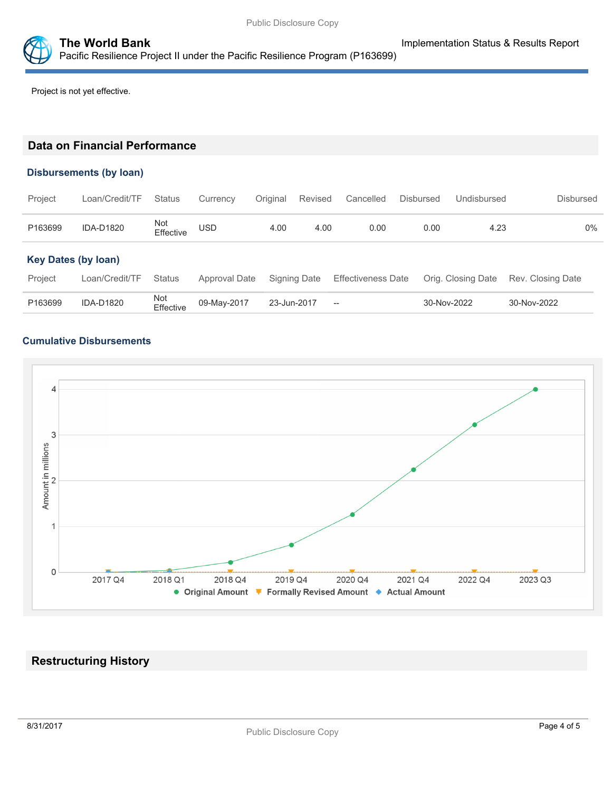

Project is not yet effective.

### **Data on Financial Performance**

#### **Disbursements (by loan)**

| Project                    | Loan/Credit/TF   | <b>Status</b>    | Currency      | Original    | Revised      | Cancelled                                           | <b>Disbursed</b> | Undisbursed        | <b>Disbursed</b>  |
|----------------------------|------------------|------------------|---------------|-------------|--------------|-----------------------------------------------------|------------------|--------------------|-------------------|
| P163699                    | <b>IDA-D1820</b> | Not<br>Effective | USD           | 4.00        | 4.00         | 0.00                                                | 0.00             | 4.23               | 0%                |
| <b>Key Dates (by loan)</b> |                  |                  |               |             |              |                                                     |                  |                    |                   |
| Project                    | Loan/Credit/TF   | <b>Status</b>    | Approval Date |             | Signing Date | <b>Effectiveness Date</b>                           |                  | Orig. Closing Date | Rev. Closing Date |
| P163699                    | <b>IDA-D1820</b> | Not<br>Effective | 09-May-2017   | 23-Jun-2017 |              | $\hspace{0.05cm} -\hspace{0.05cm} -\hspace{0.05cm}$ |                  | 30-Nov-2022        | 30-Nov-2022       |

#### **Cumulative Disbursements**



## **Restructuring History**